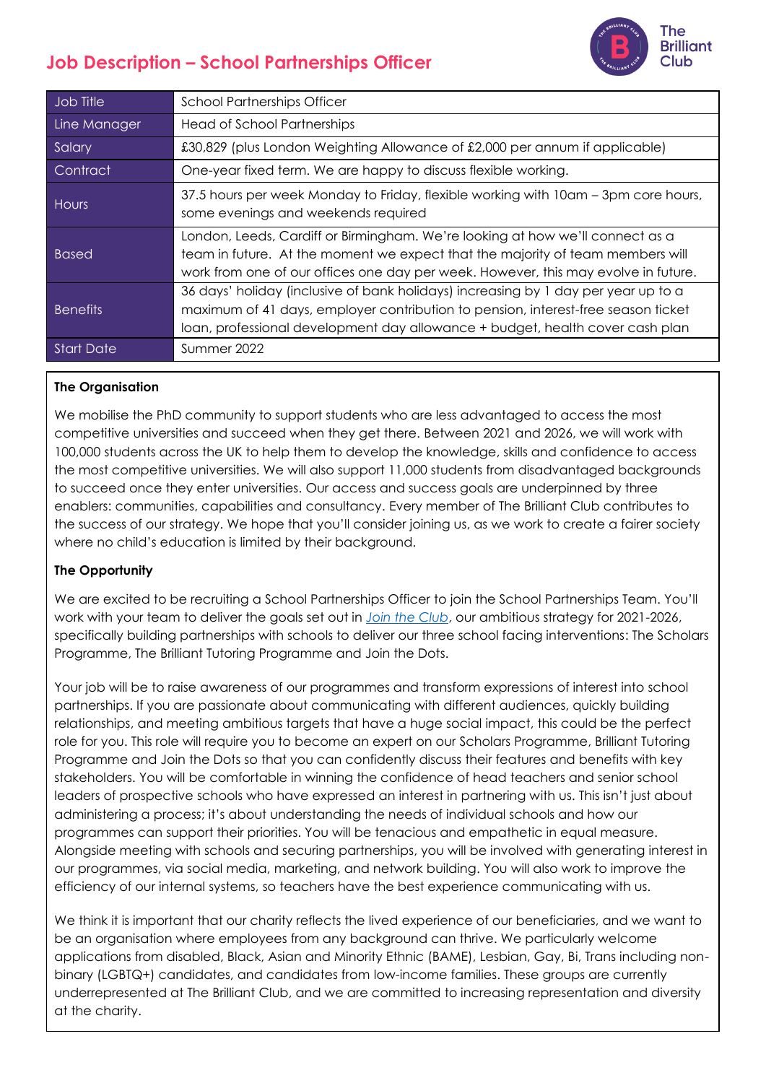# **Job Description – School Partnerships Officer**



| Job Title         | <b>School Partnerships Officer</b>                                                                                                                                                                                                                       |
|-------------------|----------------------------------------------------------------------------------------------------------------------------------------------------------------------------------------------------------------------------------------------------------|
| Line Manager      | <b>Head of School Partnerships</b>                                                                                                                                                                                                                       |
| Salary            | £30,829 (plus London Weighting Allowance of £2,000 per annum if applicable)                                                                                                                                                                              |
| Contract          | One-year fixed term. We are happy to discuss flexible working.                                                                                                                                                                                           |
| Hours             | 37.5 hours per week Monday to Friday, flexible working with 10am - 3pm core hours,<br>some evenings and weekends required                                                                                                                                |
| <b>Based</b>      | London, Leeds, Cardiff or Birmingham. We're looking at how we'll connect as a<br>team in future. At the moment we expect that the majority of team members will<br>work from one of our offices one day per week. However, this may evolve in future.    |
| <b>Benefits</b>   | 36 days' holiday (inclusive of bank holidays) increasing by 1 day per year up to a<br>maximum of 41 days, employer contribution to pension, interest-free season ticket<br>loan, professional development day allowance + budget, health cover cash plan |
| <b>Start Date</b> | Summer 2022                                                                                                                                                                                                                                              |

## **The Organisation**

We mobilise the PhD community to support students who are less advantaged to access the most competitive universities and succeed when they get there. Between 2021 and 2026, we will work with 100,000 students across the UK to help them to develop the knowledge, skills and confidence to access the most competitive universities. We will also support 11,000 students from disadvantaged backgrounds to succeed once they enter universities. Our access and success goals are underpinned by three enablers: communities, capabilities and consultancy. Every member of The Brilliant Club contributes to the success of our strategy. We hope that you'll consider joining us, as we work to create a fairer society where no child's education is limited by their background.

## **The Opportunity**

We are excited to be recruiting a School Partnerships Officer to join the School Partnerships Team. You'll work with your team to deliver the goals set out in *[Join the Club](https://thebrilliantclub.org/wp-content/uploads/2021/09/Join-the-Club-2021-26.pdf)*, our ambitious strategy for 2021-2026, specifically building partnerships with schools to deliver our three school facing interventions: The Scholars Programme, The Brilliant Tutoring Programme and Join the Dots.

Your job will be to raise awareness of our programmes and transform expressions of interest into school partnerships. If you are passionate about communicating with different audiences, quickly building relationships, and meeting ambitious targets that have a huge social impact, this could be the perfect role for you. This role will require you to become an expert on our Scholars Programme, Brilliant Tutoring Programme and Join the Dots so that you can confidently discuss their features and benefits with key stakeholders. You will be comfortable in winning the confidence of head teachers and senior school leaders of prospective schools who have expressed an interest in partnering with us. This isn't just about administering a process; it's about understanding the needs of individual schools and how our programmes can support their priorities. You will be tenacious and empathetic in equal measure. Alongside meeting with schools and securing partnerships, you will be involved with generating interest in our programmes, via social media, marketing, and network building. You will also work to improve the efficiency of our internal systems, so teachers have the best experience communicating with us.

We think it is important that our charity reflects the lived experience of our beneficiaries, and we want to be an organisation where employees from any background can thrive. We particularly welcome applications from disabled, Black, Asian and Minority Ethnic (BAME), Lesbian, Gay, Bi, Trans including nonbinary (LGBTQ+) candidates, and candidates from low-income families. These groups are currently underrepresented at The Brilliant Club, and we are committed to increasing representation and diversity at the charity.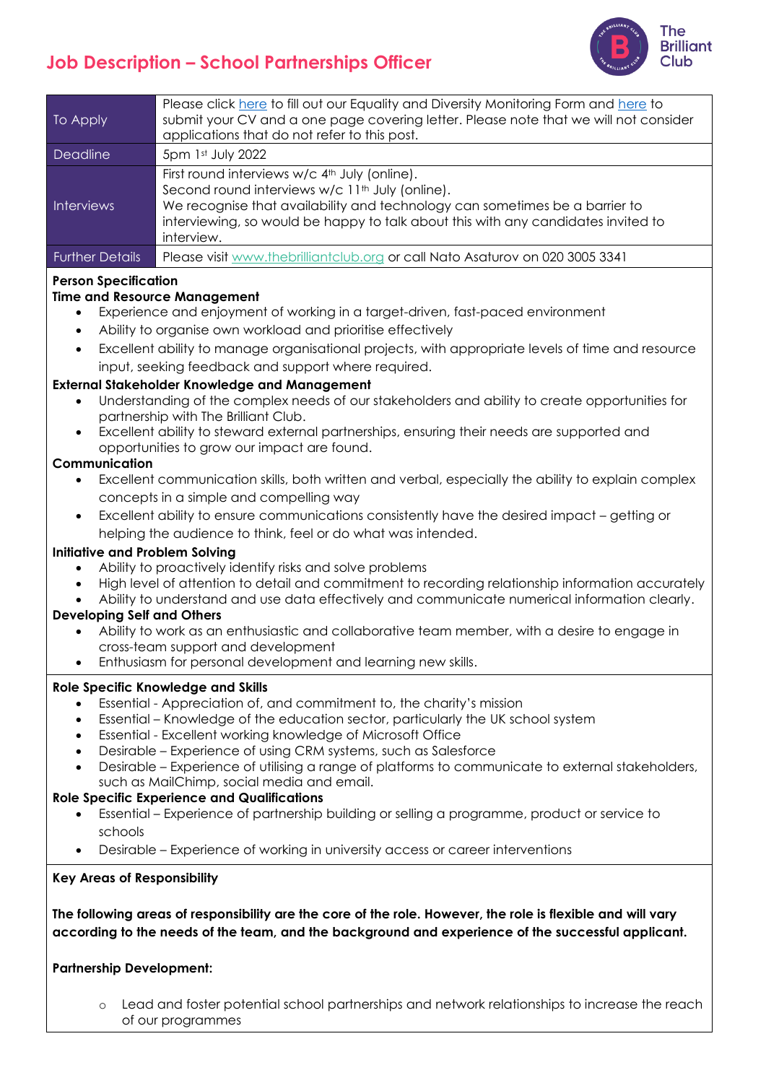# **Job Description – School Partnerships Officer**



| To Apply               | Please click here to fill out our Equality and Diversity Monitoring Form and here to<br>submit your CV and a one page covering letter. Please note that we will not consider<br>applications that do not refer to this post.                                                                               |
|------------------------|------------------------------------------------------------------------------------------------------------------------------------------------------------------------------------------------------------------------------------------------------------------------------------------------------------|
| Deadline               | 5pm 1st July 2022                                                                                                                                                                                                                                                                                          |
| Interviews             | First round interviews w/c 4 <sup>th</sup> July (online).<br>Second round interviews w/c 11 <sup>th</sup> July (online).<br>We recognise that availability and technology can sometimes be a barrier to<br>interviewing, so would be happy to talk about this with any candidates invited to<br>interview. |
| <b>Further Details</b> | Please visit www.thebrilliantclub.org or call Nato Asaturov on 020 3005 3341                                                                                                                                                                                                                               |

## **Person Specification**

## **Time and Resource Management**

- Experience and enjoyment of working in a target-driven, fast-paced environment
- Ability to organise own workload and prioritise effectively
- Excellent ability to manage organisational projects, with appropriate levels of time and resource input, seeking feedback and support where required.

## **External Stakeholder Knowledge and Management**

- Understanding of the complex needs of our stakeholders and ability to create opportunities for partnership with The Brilliant Club.
- Excellent ability to steward external partnerships, ensuring their needs are supported and opportunities to grow our impact are found.

#### **Communication**

- Excellent communication skills, both written and verbal, especially the ability to explain complex concepts in a simple and compelling way
- Excellent ability to ensure communications consistently have the desired impact getting or helping the audience to think, feel or do what was intended.

## **Initiative and Problem Solving**

- Ability to proactively identify risks and solve problems
- High level of attention to detail and commitment to recording relationship information accurately
- Ability to understand and use data effectively and communicate numerical information clearly.

## **Developing Self and Others**

- Ability to work as an enthusiastic and collaborative team member, with a desire to engage in cross-team support and development
- Enthusiasm for personal development and learning new skills.

## **Role Specific Knowledge and Skills**

- Essential Appreciation of, and commitment to, the charity's mission
- Essential Knowledge of the education sector, particularly the UK school system
- Essential Excellent working knowledge of Microsoft Office
- Desirable Experience of using CRM systems, such as Salesforce
- Desirable Experience of utilising a range of platforms to communicate to external stakeholders, such as MailChimp, social media and email.

## **Role Specific Experience and Qualifications**

- Essential Experience of partnership building or selling a programme, product or service to schools
- Desirable Experience of working in university access or career interventions

#### **Key Areas of Responsibility**

**The following areas of responsibility are the core of the role. However, the role is flexible and will vary according to the needs of the team, and the background and experience of the successful applicant.**

## **Partnership Development:**

o Lead and foster potential school partnerships and network relationships to increase the reach of our programmes